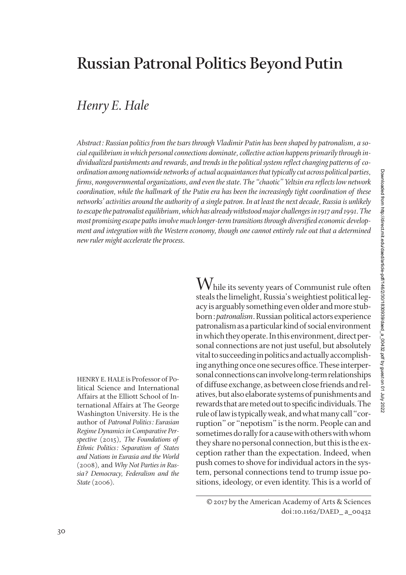## **Russian Patronal Politics Beyond Putin**

## *Henry E. Hale*

*Abstract: Russian politics from the tsars through Vladimir Putin has been shaped by patronalism, a social equilibrium in which personal connections dominate, collective action happens primarily through individualized punishments and rewards, and trends in the political system reflect changing patterns of coordination among nationwide networks of actual acquaintances that typically cut across political parties, firms, nongovernmental organizations, and even the state. The "chaotic" Yeltsin era reflects low network coordination, while the hallmark of the Putin era has been the increasingly tight coordination of these networks' activities around the authority of a single patron. In at least the next decade, Russia is unlikely to escape the patronalist equilibrium, which has already withstood major challenges in 1917 and 1991. The most promising escape paths involve much longer-term transitions through diversified economic development and integration with the Western economy, though one cannot entirely rule out that a determined new ruler might accelerate the process.*

HENRYE. HALE is Professor of Political Science and International Affairs at the Elliott School of International Affairs at The George Washington University. He is the author of *Patronal Politics: Eurasian Regime Dynamics in Comparative Perspective* (2015), *The Foundations of Ethnic Politics: Separatism of States and Nations in Eurasia and the World* (2008), and *Why Not Parties in Russia? Democracy, Federalism and the State* (2006).

 $\rm W$ hile its seventy years of Communist rule often steals the limelight, Russia's weightiest political legacy is arguably something even older and more stubborn: *patronalism*. Russian political actors experience patronalism as a particular kind of social environment in which they operate. In this environment, direct personal connections are not just useful, but absolutely vital to succeeding in politics and actually accomplishing anything once one secures office. These interpersonal connections can involve long-term relationships of diffuse exchange, as between close friends and relatives, but also elaborate systems of punishments and rewards that are meted out to specific individuals. The rule of law is typically weak, and what many call "corruption" or "nepotism" is the norm. People can and sometimes do rally for a cause with others with whom they share no personal connection, but this is the exception rather than the expectation. Indeed, when push comes to shove for individual actors in the system, personal connections tend to trump issue positions, ideology, or even identity. This is a world of

<sup>© 2017</sup> by the American Academy of Arts & Sciences doi:10.1162/DAED\_ a\_00432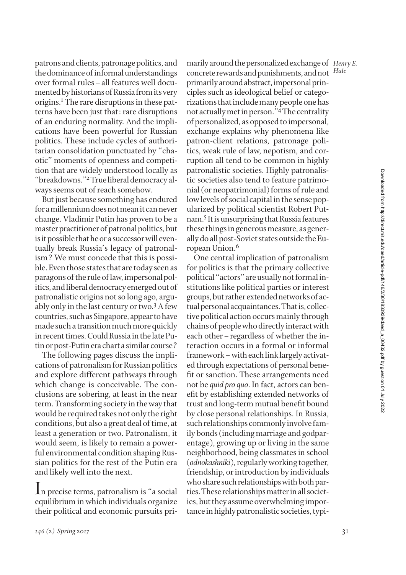patrons and clients, patronage politics, and the dominance of informal understandings over formal rules–all features well documented by historians of Russia from its very origins.<sup>1</sup> The rare disruptions in these patterns have been just that: rare disruptions of an enduring normality. And the implications have been powerful for Russian politics. These include cycles of authoritarian consolidation punctuated by "chaotic" moments of openness and competition that are widely understood locally as "breakdowns."2 True liberal democracy always seems out of reach somehow.

But just because something has endured for a millennium does not mean it can never change. Vladimir Putin has proven to be a master practitioner of patronal politics, but is it possible that he or a successor will eventually break Russia's legacy of patronalism? We must concede that this is possible. Even those states that are today seen as paragons of the rule of law, impersonal politics, and liberal democracy emerged out of patronalistic origins not so long ago, arguably only in the last century or two.<sup>3</sup> A few countries, such as Singapore, appear to have made such a transition much more quickly in recent times. Could Russia in the late Putin or post-Putin era chart a similar course?

The following pages discuss the implications of patronalism for Russian politics and explore different pathways through which change is conceivable. The conclusions are sobering, at least in the near term. Transforming society in the way that would be required takes not only the right conditions, but also a great deal of time, at least a generation or two. Patronalism, it would seem, is likely to remain a powerful environmental condition shaping Russian politics for the rest of the Putin era and likely well into the next.

In precise terms, patronalism is "a social equilibrium in which individuals organize their political and economic pursuits pri-

marily around the personalized exchange of *Henry E.* concrete rewards and punishments, and not Hale primarily around abstract, impersonal principles such as ideological belief or categorizations that include many people one has not actually met in person."4 The centrality of personalized, as opposed to impersonal, exchange explains why phenomena like patron-client relations, patronage politics, weak rule of law, nepotism, and corruption all tend to be common in highly patronalistic societies. Highly patronalistic societies also tend to feature patrimonial (or neopatrimonial) forms of rule and low levels of social capital in the sense popularized by political scientist Robert Putnam.5 It is unsurprising that Russia features these things in generous measure, as generally do all post-Soviet states outside the European Union.<sup>6</sup>

One central implication of patronalism for politics is that the primary collective political "actors" are usually not formal institutions like political parties or interest groups, but rather extended networks of actual personal acquaintances. That is, collective political action occurs mainly through chains of people who directly interact with each other–regardless of whether the interaction occurs in a formal or informal framework–with each link largely activated through expectations of personal benefit or sanction. These arrangements need not be *quid pro quo*. In fact, actors can benefit by establishing extended networks of trust and long-term mutual benefit bound by close personal relationships. In Russia, such relationships commonly involve family bonds (including marriage and godparentage), growing up or living in the same neighborhood, being classmates in school (*odnokashniki*), regularly working together, friendship, or introduction by individuals who share such relationships with both parties. These relationships matter in all societies, but they assume overwhelming importance in highly patronalistic societies, typi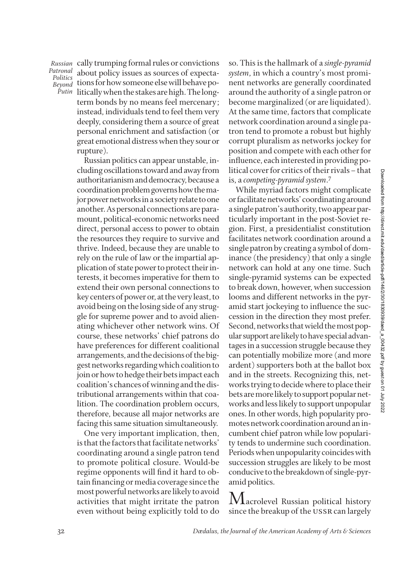*Patronal Politics* 

*Russian* cally trumping formal rules or convictions *Beyond*  tions for how someone else will behave po-*Putin* litically when the stakes are high. The longabout policy issues as sources of expectaterm bonds by no means feel mercenary; instead, individuals tend to feel them very deeply, considering them a source of great personal enrichment and satisfaction (or great emotional distress when they sour or rupture).

> Russian politics can appear unstable, including oscillations toward and away from authoritarianism and democracy, because a coordination problem governs how the major power networks in a society relate to one another. As personal connections are paramount, political-economic networks need direct, personal access to power to obtain the resources they require to survive and thrive. Indeed, because they are unable to rely on the rule of law or the impartial application of state power to protect their interests, it becomes imperative for them to extend their own personal connections to key centers of power or, at the very least, to avoid being on the losing side of any struggle for supreme power and to avoid alienating whichever other network wins. Of course, these networks' chief patrons do have preferences for different coalitional arrangements, and the decisions of the biggest networks regarding which coalition to join or how to hedge their bets impact each coalition's chances of winning and the distributional arrangements within that coalition. The coordination problem occurs, therefore, because all major networks are facing this same situation simultaneously.

> One very important implication, then, is that the factors that facilitate networks' coordinating around a single patron tend to promote political closure. Would-be regime opponents will find it hard to obtain financing or media coverage since the most powerful networks are likely to avoid activities that might irritate the patron even without being explicitly told to do

so. This is the hallmark of a *single-pyramid system*, in which a country's most prominent networks are generally coordinated around the authority of a single patron or become marginalized (or are liquidated). At the same time, factors that complicate network coordination around a single patron tend to promote a robust but highly corrupt pluralism as networks jockey for position and compete with each other for influence, each interested in providing political cover for critics of their rivals–that is, a *competing-pyramid system*. 7

While myriad factors might complicate or facilitate networks' coordinating around a single patron's authority, two appear particularly important in the post-Soviet region. First, a presidentialist constitution facilitates network coordination around a single patron by creating a symbol of dominance (the presidency) that only a single network can hold at any one time. Such single-pyramid systems can be expected to break down, however, when succession looms and different networks in the pyramid start jockeying to influence the succession in the direction they most prefer. Second, networks that wield the most popular support are likely to have special advantages in a succession struggle because they can potentially mobilize more (and more ardent) supporters both at the ballot box and in the streets. Recognizing this, networks trying to decide where to place their bets are more likely to support popular networks and less likely to support unpopular ones. In other words, high popularity promotes network coordination around an incumbent chief patron while low popularity tends to undermine such coordination. Periods when unpopularity coincides with succession struggles are likely to be most conducive to the breakdown of single-pyramid politics.

Macrolevel Russian political history since the breakup of the USSR can largely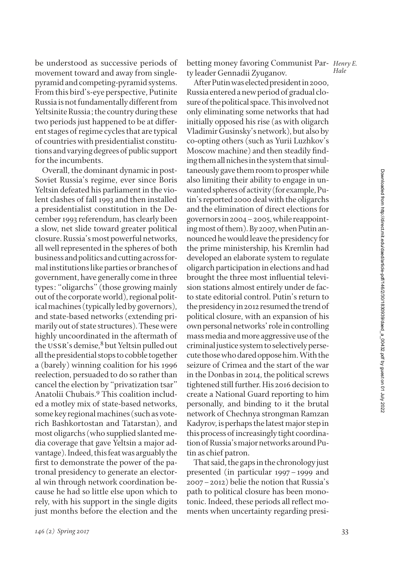be understood as successive periods of movement toward and away from singlepyramid and competing-pyramid systems. From this bird's-eye perspective, Putinite Russia is not fundamentally different from Yeltsinite Russia; the country during these two periods just happened to be at different stages of regime cycles that are typical of countries with presidentialist constitutions and varying degrees of public support for the incumbents.

Overall, the dominant dynamic in post-Soviet Russia's regime, ever since Boris Yeltsin defeated his parliament in the violent clashes of fall 1993 and then installed a presidentialist constitution in the December 1993 referendum, has clearly been a slow, net slide toward greater political closure. Russia's most powerful networks, all well represented in the spheres of both business and politics and cutting across formal institutions like parties or branches of government, have generally come in three types: "oligarchs" (those growing mainly out of the corporate world), regional political machines (typically led by governors), and state-based networks (extending primarily out of state structures). These were highly uncoordinated in the aftermath of the USSR's demise, $8$  but Yeltsin pulled out all the presidential stops to cobble together a (barely) winning coalition for his 1996 reelection, persuaded to do so rather than cancel the election by "privatization tsar" Anatolii Chubais.9 This coalition included a motley mix of state-based networks, some key regional machines (such as voterich Bashkortostan and Tatarstan), and most oligarchs (who supplied slanted media coverage that gave Yeltsin a major advantage). Indeed, this feat was arguably the first to demonstrate the power of the patronal presidency to generate an electoral win through network coordination because he had so little else upon which to rely, with his support in the single digits just months before the election and the

betting money favoring Communist Par- Henry E. ty leader Gennadii Zyuganov.

*Hale*

After Putin was elected president in 2000, Russia entered a new period of gradual closure of the political space. This involved not only eliminating some networks that had initially opposed his rise (as with oligarch Vladimir Gusinsky's network), but also by co-opting others (such as Yurii Luzhkov's Moscow machine) and then steadily finding them all niches in the system that simultaneously gave them room to prosper while also limiting their ability to engage in unwanted spheres of activity (for example, Putin's reported 2000 deal with the oligarchs and the elimination of direct elections for governors in 2004–2005, while reappointing most of them). By 2007, when Putin announced he would leave the presidency for the prime ministership, his Kremlin had developed an elaborate system to regulate oligarch participation in elections and had brought the three most influential television stations almost entirely under de facto state editorial control. Putin's return to the presidency in 2012 resumed the trend of political closure, with an expansion of his own personal networks' role in controlling mass media and more aggressive use of the criminal justice system to selectively persecute those who dared oppose him. With the seizure of Crimea and the start of the war in the Donbas in 2014, the political screws tightened still further. His 2016 decision to create a National Guard reporting to him personally, and binding to it the brutal network of Chechnya strongman Ramzan Kadyrov, is perhaps the latest major step in this process of increasingly tight coordination of Russia's major networks around Putin as chief patron.

That said, the gaps in the chronology just presented (in particular 1997–1999 and 2007–2012) belie the notion that Russia's path to political closure has been monotonic. Indeed, these periods all reflect moments when uncertainty regarding presi-

## *146 (2) Spring 2017* 33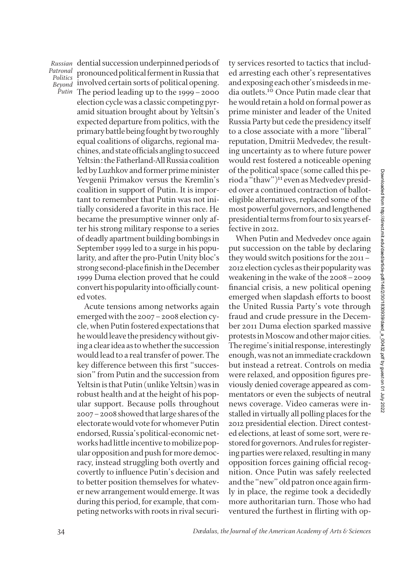*Patronal Politics* 

*Russian* dential succession underpinned periods of

*Beyond*  involved certain sorts of political opening. pronounced political ferment in Russia that

*Putin* The period leading up to the 1999–2000 election cycle was a classic competing pyramid situation brought about by Yeltsin's expected departure from politics, with the primary battle being fought by two roughly equal coalitions of oligarchs, regional machines, and state officials angling to succeed Yeltsin: the Fatherland-All Russia coalition led by Luzhkov and former prime minister Yevgenii Primakov versus the Kremlin's coalition in support of Putin. It is important to remember that Putin was not initially considered a favorite in this race. He became the presumptive winner only after his strong military response to a series of deadly apartment building bombings in September 1999 led to a surge in his popularity, and after the pro-Putin Unity bloc's strong second-place finish in the December 1999 Duma election proved that he could convert his popularity into officially counted votes.

Acute tensions among networks again emerged with the 2007–2008 election cycle, when Putin fostered expectations that he would leave the presidency without giving a clear idea as to whether the succession would lead to a real transfer of power. The key difference between this first "succession" from Putin and the succession from Yeltsin is that Putin (unlike Yeltsin) was in robust health and at the height of his popular support. Because polls throughout 2007–2008 showed that large shares of the electorate would vote for whomever Putin endorsed, Russia's political-economic networks had little incentive to mobilize popular opposition and push for more democracy, instead struggling both overtly and covertly to influence Putin's decision and to better position themselves for whatever new arrangement would emerge. It was during this period, for example, that competing networks with roots in rival security services resorted to tactics that included arresting each other's representatives and exposing each other's misdeeds in media outlets.10 Once Putin made clear that he would retain a hold on formal power as prime minister and leader of the United Russia Party but cede the presidency itself to a close associate with a more "liberal" reputation, Dmitrii Medvedev, the resulting uncertainty as to where future power would rest fostered a noticeable opening of the political space (some called this period a "thaw")<sup>11</sup> even as Medvedev presided over a continued contraction of balloteligible alternatives, replaced some of the most powerful governors, and lengthened presidential terms from four to six years effective in 2012.

When Putin and Medvedev once again put succession on the table by declaring they would switch positions for the 2011– 2012 election cycles as their popularity was weakening in the wake of the 2008–2009 financial crisis, a new political opening emerged when slapdash efforts to boost the United Russia Party's vote through fraud and crude pressure in the December 2011 Duma election sparked massive protests in Moscow and other major cities. The regime's initial response, interestingly enough, was not an immediate crackdown but instead a retreat. Controls on media were relaxed, and opposition figures previously denied coverage appeared as commentators or even the subjects of neutral news coverage. Video cameras were installed in virtually all polling places for the 2012 presidential election. Direct contested elections, at least of some sort, were restored for governors. And rules for registering parties were relaxed, resulting in many opposition forces gaining official recognition. Once Putin was safely reelected and the "new" old patron once again firmly in place, the regime took a decidedly more authoritarian turn. Those who had ventured the furthest in flirting with op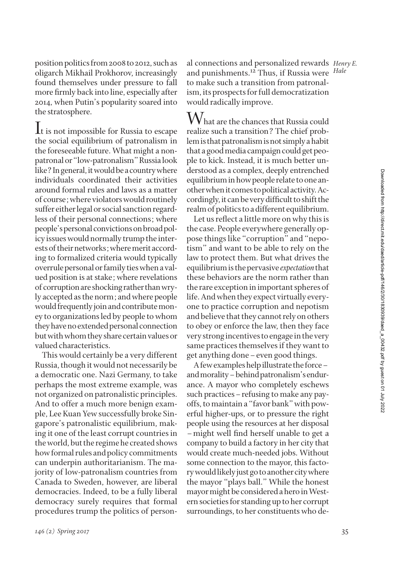position politics from 2008 to 2012, such as oligarch Mikhail Prokhorov, increasingly found themselves under pressure to fall more firmly back into line, especially after 2014, when Putin's popularity soared into the stratosphere.

It is not impossible for Russia to escape the social equilibrium of patronalism in the foreseeable future. What might a nonpatronal or "low-patronalism" Russia look like? In general, it would be a country where individuals coordinated their activities around formal rules and laws as a matter of course; where violators would routinely suffer either legal or social sanction regardless of their personal connections; where people's personal convictions on broad policy issues would normally trump the interests of their networks; where merit according to formalized criteria would typically overrule personal or family ties when a valued position is at stake; where revelations of corruption are shocking rather than wryly accepted as the norm; and where people would frequently join and contribute money to organizations led by people to whom they have no extended personal connection but with whom they share certain values or valued characteristics.

This would certainly be a very different Russia, though it would not necessarily be a democratic one. Nazi Germany, to take perhaps the most extreme example, was not organized on patronalistic principles. And to offer a much more benign example, Lee Kuan Yew successfully broke Singapore's patronalistic equilibrium, making it one of the least corrupt countries in the world, but the regime he created shows how formal rules and policy commitments can underpin authoritarianism. The majority of low-patronalism countries from Canada to Sweden, however, are liberal democracies. Indeed, to be a fully liberal democracy surely requires that formal procedures trump the politics of person-

al connections and personalized rewards Henry E. and punishments.<sup>12</sup> Thus, if Russia were *Hale* to make such a transition from patronalism, its prospects for full democratization would radically improve.

 $\rm W$  hat are the chances that Russia could realize such a transition? The chief problem is that patronalism is not simply a habit that a good media campaign could get people to kick. Instead, it is much better understood as a complex, deeply entrenched equilibrium in how people relate to one another when it comes to political activity. Accordingly, it can be very difficult to shift the realm of politics to a different equilibrium.

Let us reflect a little more on why this is the case. People everywhere generally oppose things like "corruption" and "nepotism" and want to be able to rely on the law to protect them. But what drives the equilibrium is the pervasive *expectation* that these behaviors are the norm rather than the rare exception in important spheres of life. And when they expect virtually everyone to practice corruption and nepotism and believe that they cannot rely on others to obey or enforce the law, then they face very strong incentives to engage in the very same practices themselves if they want to get anything done–even good things.

A few examples help illustrate the force– and morality–behind patronalism's endurance. A mayor who completely eschews such practices–refusing to make any payoffs, to maintain a "favor bank" with powerful higher-ups, or to pressure the right people using the resources at her disposal –might well find herself unable to get a company to build a factory in her city that would create much-needed jobs. Without some connection to the mayor, this factory would likely just go to another city where the mayor "plays ball." While the honest mayor might be considered a hero in Western societies for standing up to her corrupt surroundings, to her constituents who de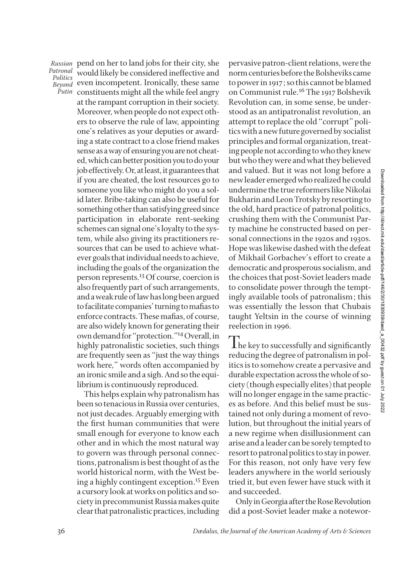*Politics* 

*Russian* pend on her to land jobs for their city, she Patronal would likely be considered ineffective and *Beyond*  even incompetent. Ironically, these same *Putin* constituents might all the while feel angry at the rampant corruption in their society. Moreover, when people do not expect others to observe the rule of law, appointing one's relatives as your deputies or awarding a state contract to a close friend makes sense as a way of ensuring you are not cheated, which can better position you to do your job effectively. Or, at least, it guarantees that if you are cheated, the lost resources go to someone you like who might do you a solid later. Bribe-taking can also be useful for something other than satisfying greed since participation in elaborate rent-seeking schemes can signal one's loyalty to the system, while also giving its practitioners resources that can be used to achieve whatever goals that individual needs to achieve, including the goals of the organization the person represents.13 Of course, coercion is also frequently part of such arrangements, and a weak rule of law has long been argued to facilitate companies' turning to mafias to enforce contracts. These mafias, of course, are also widely known for generating their own demand for "protection."14 Overall, in highly patronalistic societies, such things are frequently seen as "just the way things work here," words often accompanied by an ironic smile and a sigh. And so the equilibrium is continuously reproduced.

This helps explain why patronalism has been so tenacious in Russia over centuries, not just decades. Arguably emerging with the first human communities that were small enough for everyone to know each other and in which the most natural way to govern was through personal connections, patronalism is best thought of as the world historical norm, with the West being a highly contingent exception.15 Even a cursory look at works on politics and society in precommunist Russia makes quite clear that patronalistic practices, including pervasive patron-client relations, were the norm centuries before the Bolsheviks came to power in 1917; so this cannot be blamed on Communist rule.16 The 1917 Bolshevik Revolution can, in some sense, be understood as an antipatronalist revolution, an attempt to replace the old "corrupt" politics with a new future governed by socialist principles and formal organization, treating people not according to who they knew but who they were and what they believed and valued. But it was not long before a new leader emerged who realized he could undermine the true reformers like Nikolai Bukharin and Leon Trotsky by resorting to the old, hard practice of patronal politics, crushing them with the Communist Party machine he constructed based on personal connections in the 1920s and 1930s. Hope was likewise dashed with the defeat of Mikhail Gorbachev's effort to create a democratic and prosperous socialism, and the choices that post-Soviet leaders made to consolidate power through the temptingly available tools of patronalism; this was essentially the lesson that Chubais taught Yeltsin in the course of winning reelection in 1996.

 $\mathbf I$  he key to successfully and significantly reducing the degree of patronalism in politics is to somehow create a pervasive and durable expectation across the whole of society (though especially elites) that people will no longer engage in the same practices as before. And this belief must be sustained not only during a moment of revolution, but throughout the initial years of a new regime when disillusionment can arise and a leader can be sorely tempted to resort to patronal politics to stay in power. For this reason, not only have very few leaders anywhere in the world seriously tried it, but even fewer have stuck with it and succeeded.

Only in Georgia after the Rose Revolution did a post-Soviet leader make a notewor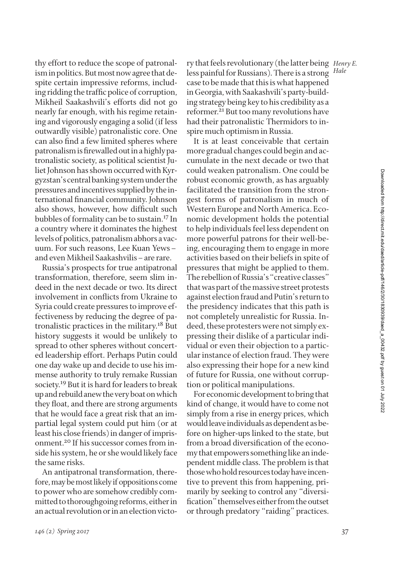thy effort to reduce the scope of patronalism in politics. But most now agree that despite certain impressive reforms, including ridding the traffic police of corruption, Mikheil Saakashvili's efforts did not go nearly far enough, with his regime retaining and vigorously engaging a solid (if less outwardly visible) patronalistic core. One can also find a few limited spheres where patronalism is firewalled out in a highly patronalistic society, as political scientist Juliet Johnson has shown occurred with Kyrgyzstan's central banking system under the pressures and incentives supplied by the international financial community. Johnson also shows, however, how difficult such bubbles of formality can be to sustain.17 In a country where it dominates the highest levels of politics, patronalism abhors a vacuum. For such reasons, Lee Kuan Yews– and even Mikheil Saakashvilis–are rare.

Russia's prospects for true antipatronal transformation, therefore, seem slim indeed in the next decade or two. Its direct involvement in conflicts from Ukraine to Syria could create pressures to improve effectiveness by reducing the degree of patronalistic practices in the military.18 But history suggests it would be unlikely to spread to other spheres without concerted leadership effort. Perhaps Putin could one day wake up and decide to use his immense authority to truly remake Russian society.19 But it is hard for leaders to break up and rebuild anew the very boat on which they float, and there are strong arguments that he would face a great risk that an impartial legal system could put him (or at least his close friends) in danger of imprisonment.20 If his successor comes from inside his system, he or she would likely face the same risks.

An antipatronal transformation, therefore, may be most likely if oppositions come to power who are somehow credibly committed to thoroughgoing reforms, either in an actual revolution or in an election victo-

ry that feels revolutionary (the latter being *Henry E.* less painful for Russians). There is a strong Hale case to be made that this is what happened in Georgia, with Saakashvili's party-building strategy being key to his credibility as a reformer.21 But too many revolutions have had their patronalistic Thermidors to inspire much optimism in Russia.

It is at least conceivable that certain more gradual changes could begin and accumulate in the next decade or two that could weaken patronalism. One could be robust economic growth, as has arguably facilitated the transition from the strongest forms of patronalism in much of Western Europe and North America. Economic development holds the potential to help individuals feel less dependent on more powerful patrons for their well-being, encouraging them to engage in more activities based on their beliefs in spite of pressures that might be applied to them. The rebellion of Russia's "creative classes" that was part of the massive street protests against election fraud and Putin's return to the presidency indicates that this path is not completely unrealistic for Russia. Indeed, these protesters were not simply expressing their dislike of a particular individual or even their objection to a particular instance of election fraud. They were also expressing their hope for a new kind of future for Russia, one without corruption or political manipulations.

For economic development to bring that kind of change, it would have to come not simply from a rise in energy prices, which would leave individuals as dependent as before on higher-ups linked to the state, but from a broad diversification of the economy that empowers something like an independent middle class. The problem is that those who hold resources today have incentive to prevent this from happening, primarily by seeking to control any "diversification" themselves either from the outset or through predatory "raiding" practices.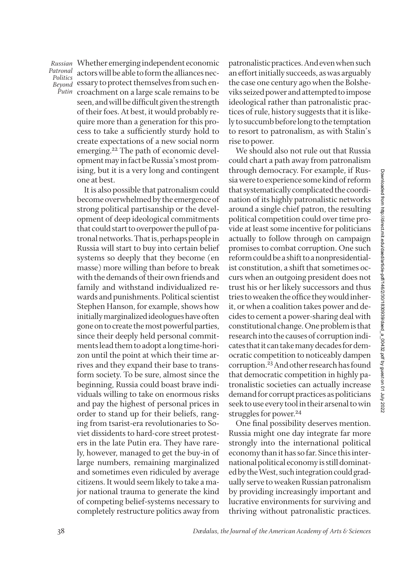*Patronal Politics* 

*Russian* Whether emerging independent economic *Beyond*  essary to protect themselves from such en-*Putin* croachment on a large scale remains to be actors will be able to form the alliances necseen, and will be difficult given the strength of their foes. At best, it would probably require more than a generation for this process to take a sufficiently sturdy hold to create expectations of a new social norm emerging.22 The path of economic development may in fact be Russia's most promising, but it is a very long and contingent one at best.

> It is also possible that patronalism could become overwhelmed by the emergence of strong political partisanship or the development of deep ideological commitments that could start to overpower the pull of patronal networks. That is, perhaps people in Russia will start to buy into certain belief systems so deeply that they become (en masse) more willing than before to break with the demands of their own friends and family and withstand individualized rewards and punishments. Political scientist Stephen Hanson, for example, shows how initially marginalized ideologues have often gone on to create the most powerful parties, since their deeply held personal commitments lead them to adopt a long time-horizon until the point at which their time arrives and they expand their base to transform society. To be sure, almost since the beginning, Russia could boast brave individuals willing to take on enormous risks and pay the highest of personal prices in order to stand up for their beliefs, ranging from tsarist-era revolutionaries to Soviet dissidents to hard-core street protesters in the late Putin era. They have rarely, however, managed to get the buy-in of large numbers, remaining marginalized and sometimes even ridiculed by average citizens. It would seem likely to take a major national trauma to generate the kind of competing belief-systems necessary to completely restructure politics away from

patronalistic practices. And even when such an effort initially succeeds, as was arguably the case one century ago when the Bolsheviks seized power and attempted to impose ideological rather than patronalistic practices of rule, history suggests that it is likely to succumb before long to the temptation to resort to patronalism, as with Stalin's rise to power.

We should also not rule out that Russia could chart a path away from patronalism through democracy. For example, if Russia were to experience some kind of reform that systematically complicated the coordination of its highly patronalistic networks around a single chief patron, the resulting political competition could over time provide at least some incentive for politicians actually to follow through on campaign promises to combat corruption. One such reform could be a shift to a nonpresidentialist constitution, a shift that sometimes occurs when an outgoing president does not trust his or her likely successors and thus tries to weaken the office they would inherit, or when a coalition takes power and decides to cement a power-sharing deal with constitutional change. One problem is that research into the causes of corruption indicates that it can take many decades for democratic competition to noticeably dampen corruption.<sup>23</sup> And other research has found that democratic competition in highly patronalistic societies can actually increase demand for corrupt practices as politicians seek to use every tool in their arsenal to win struggles for power.<sup>24</sup>

One final possibility deserves mention. Russia might one day integrate far more strongly into the international political economy than it has so far. Since this international political economy is still dominated by the West, such integration could gradually serve to weaken Russian patronalism by providing increasingly important and lucrative environments for surviving and thriving without patronalistic practices.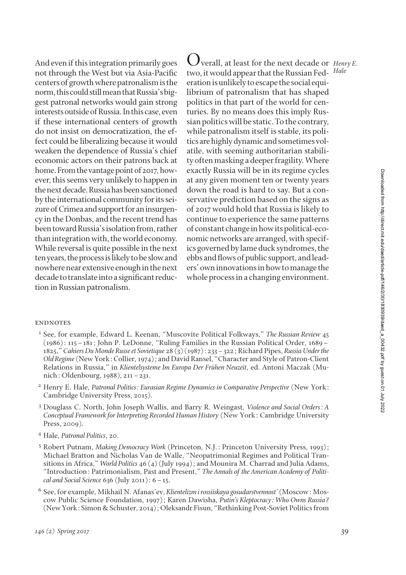And even if this integration primarily goes not through the West but via Asia-Pacific centers of growth where patronalism is the norm, this could still mean that Russia's biggest patronal networks would gain strong interests outside of Russia. In this case, even if these international centers of growth do not insist on democratization, the effect could be liberalizing because it would weaken the dependence of Russia's chief economic actors on their patrons back at home. From the vantage point of 2017, however, this seems very unlikely to happen in the next decade. Russia has been sanctioned by the international community for its seizure of Crimea and support for an insurgency in the Donbas, and the recent trend has been toward Russia's isolation from, rather than integration with, the world economy. While reversal is quite possible in the next ten years, the process is likely to be slow and nowhere near extensive enough in the next decade to translate into a significant reduction in Russian patronalism.

Overall, at least for the next decade or *Henry E.* two, it would appear that the Russian Fed- *Hale* eration is unlikely to escape the social equilibrium of patronalism that has shaped politics in that part of the world for centuries. By no means does this imply Russian politics will be static. To the contrary, while patronalism itself is stable, its politics are highly dynamic and sometimes volatile, with seeming authoritarian stability often masking a deeper fragility. Where exactly Russia will be in its regime cycles at any given moment ten or twenty years down the road is hard to say. But a conservative prediction based on the signs as of 2017 would hold that Russia is likely to continue to experience the same patterns of constant change in how its political-economic networks are arranged, with specifics governed by lame duck syndromes, the ebbs and flows of public support, and leaders' own innovations in how to manage the whole process in a changing environment.

## **ENDNOTES**

- <sup>1</sup> See, for example, Edward L. Keenan, "Muscovite Political Folkways," *The Russian Review* 45 (1986): 115–181; John P. LeDonne, "Ruling Families in the Russian Political Order, 1689– 1825," *Cahiers Du Monde Russe et Sovietique* 28 (3) (1987): 233–322; Richard Pipes, *Russia Under the Old Regime* (New York: Collier, 1974); and David Ransel, "Character and Style of Patron-Client Relations in Russia," in *Klientelsysteme Im Europa Der Frühen Neuzeit*, ed. Antoni Maczak (Munich: Oldenbourg, 1988), 211–231.
- <sup>2</sup> Henry E. Hale, *Patronal Politics: Eurasian Regime Dynamics in Comparative Perspective* (New York: Cambridge University Press, 2015).
- <sup>3</sup> Douglass C. North, John Joseph Wallis, and Barry R. Weingast, *Violence and Social Orders: A Conceptual Framework for Interpreting Recorded Human History* (New York: Cambridge University Press, 2009).
- <sup>4</sup> Hale, *Patronal Politics*, 20.
- <sup>5</sup> Robert Putnam, *Making Democracy Work* (Princeton, N.J.: Princeton University Press, 1993); Michael Bratton and Nicholas Van de Walle, "Neopatrimonial Regimes and Political Transitions in Africa," *World Politics* 46 (4) (July 1994); and Mounira M. Charrad and Julia Adams, "Introduction: Patrimonialism, Past and Present," *The Annals of the American Academy of Political and Social Science* 636 (July 2011): 6–15.
- <sup>6</sup> See, for example, Mikhail N. Afanas'ev, *Klientelizm i rossiiskaya gosudarstvennost'* (Moscow: Moscow Public Science Foundation, 1997); Karen Dawisha, *Putin's Kleptocracy: Who Owns Russia?* (New York: Simon & Schuster, 2014); Oleksandr Fisun, "Rethinking Post-Soviet Politics from